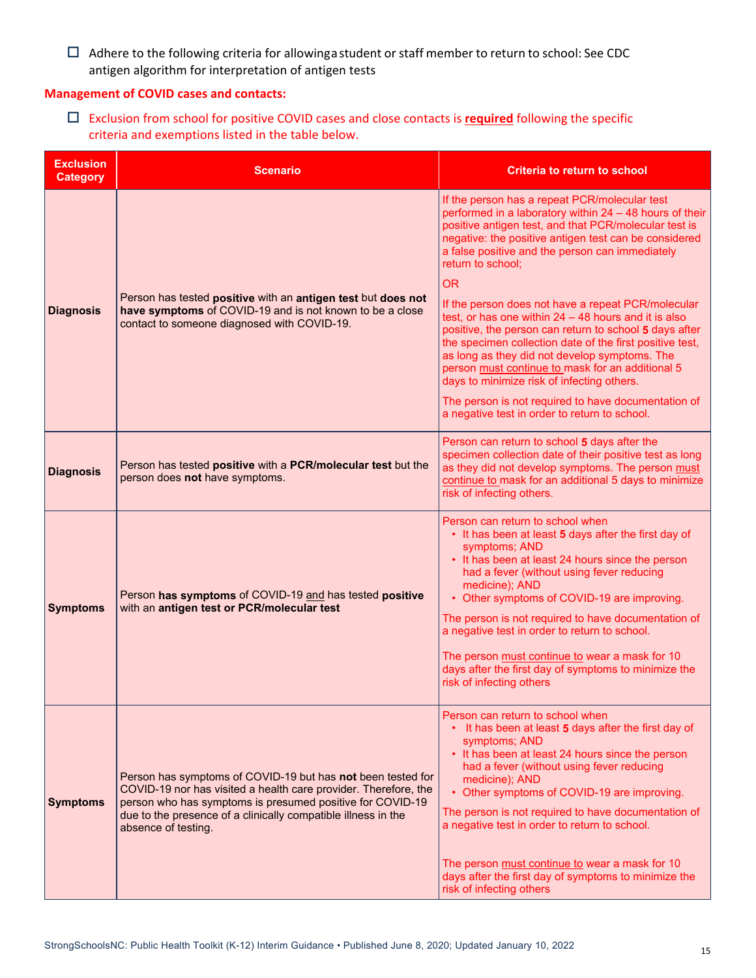$\Box$  Adhere to the following criteria for allowinga student or staff member to return to school: See CDC antigen algorithm for interpretation of antigen tests

## **Management of COVID cases and contacts:**

 Exclusion from school for positive COVID cases and close contacts is **required** following the specific criteria and exemptions listed in the table below.

| <b>Exclusion</b><br><b>Category</b> | <b>Scenario</b>                                                                                                                                                                                                                                                                     | <b>Criteria to return to school</b>                                                                                                                                                                                                                                                                                                                                                                                                                                                                                                                                                                                                                                                                                                                                                                        |
|-------------------------------------|-------------------------------------------------------------------------------------------------------------------------------------------------------------------------------------------------------------------------------------------------------------------------------------|------------------------------------------------------------------------------------------------------------------------------------------------------------------------------------------------------------------------------------------------------------------------------------------------------------------------------------------------------------------------------------------------------------------------------------------------------------------------------------------------------------------------------------------------------------------------------------------------------------------------------------------------------------------------------------------------------------------------------------------------------------------------------------------------------------|
| <b>Diagnosis</b>                    | Person has tested positive with an antigen test but does not<br>have symptoms of COVID-19 and is not known to be a close<br>contact to someone diagnosed with COVID-19.                                                                                                             | If the person has a repeat PCR/molecular test<br>performed in a laboratory within 24 - 48 hours of their<br>positive antigen test, and that PCR/molecular test is<br>negative: the positive antigen test can be considered<br>a false positive and the person can immediately<br>return to school;<br>OR.<br>If the person does not have a repeat PCR/molecular<br>test, or has one within $24 - 48$ hours and it is also<br>positive, the person can return to school 5 days after<br>the specimen collection date of the first positive test,<br>as long as they did not develop symptoms. The<br>person must continue to mask for an additional 5<br>days to minimize risk of infecting others.<br>The person is not required to have documentation of<br>a negative test in order to return to school. |
| <b>Diagnosis</b>                    | Person has tested positive with a PCR/molecular test but the<br>person does not have symptoms.                                                                                                                                                                                      | Person can return to school 5 days after the<br>specimen collection date of their positive test as long<br>as they did not develop symptoms. The person must<br>continue to mask for an additional 5 days to minimize<br>risk of infecting others.                                                                                                                                                                                                                                                                                                                                                                                                                                                                                                                                                         |
| <b>Symptoms</b>                     | Person has symptoms of COVID-19 and has tested positive<br>with an antigen test or PCR/molecular test                                                                                                                                                                               | Person can return to school when<br>• It has been at least 5 days after the first day of<br>symptoms; AND<br>• It has been at least 24 hours since the person<br>had a fever (without using fever reducing<br>medicine); AND<br>• Other symptoms of COVID-19 are improving.<br>The person is not required to have documentation of<br>a negative test in order to return to school.<br>The person must continue to wear a mask for 10<br>days after the first day of symptoms to minimize the<br>risk of infecting others                                                                                                                                                                                                                                                                                  |
| <b>Symptoms</b>                     | Person has symptoms of COVID-19 but has not been tested for<br>COVID-19 nor has visited a health care provider. Therefore, the<br>person who has symptoms is presumed positive for COVID-19<br>due to the presence of a clinically compatible illness in the<br>absence of testing. | Person can return to school when<br>• It has been at least 5 days after the first day of<br>symptoms; AND<br>• It has been at least 24 hours since the person<br>had a fever (without using fever reducing<br>medicine); AND<br>• Other symptoms of COVID-19 are improving.<br>The person is not required to have documentation of<br>a negative test in order to return to school.<br>The person must continue to wear a mask for 10<br>days after the first day of symptoms to minimize the<br>risk of infecting others                                                                                                                                                                                                                                                                                  |